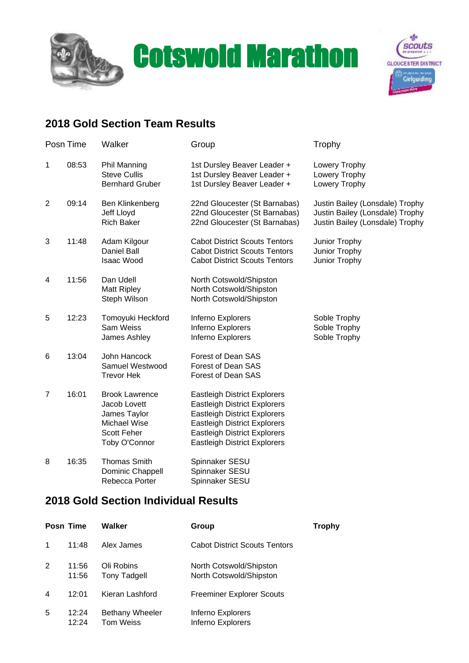



## **2018 Gold Section Team Results**

| Posn Time      |       | Walker                                                                                                | Group                                                                                                                                                                                                                                  | Trophy                                                                                                |  |
|----------------|-------|-------------------------------------------------------------------------------------------------------|----------------------------------------------------------------------------------------------------------------------------------------------------------------------------------------------------------------------------------------|-------------------------------------------------------------------------------------------------------|--|
| 1              | 08:53 | <b>Phil Manning</b><br><b>Steve Cullis</b><br><b>Bernhard Gruber</b>                                  | 1st Dursley Beaver Leader +<br>1st Dursley Beaver Leader +<br>1st Dursley Beaver Leader +                                                                                                                                              | Lowery Trophy<br>Lowery Trophy<br>Lowery Trophy                                                       |  |
| $\overline{2}$ | 09:14 | Ben Klinkenberg<br>Jeff Lloyd<br><b>Rich Baker</b>                                                    | 22nd Gloucester (St Barnabas)<br>22nd Gloucester (St Barnabas)<br>22nd Gloucester (St Barnabas)                                                                                                                                        | Justin Bailey (Lonsdale) Trophy<br>Justin Bailey (Lonsdale) Trophy<br>Justin Bailey (Lonsdale) Trophy |  |
| 3              | 11:48 | Adam Kilgour<br>Daniel Ball<br><b>Isaac Wood</b>                                                      | <b>Cabot District Scouts Tentors</b><br><b>Cabot District Scouts Tentors</b><br><b>Cabot District Scouts Tentors</b>                                                                                                                   | Junior Trophy<br>Junior Trophy<br>Junior Trophy                                                       |  |
| 4              | 11:56 | Dan Udell<br><b>Matt Ripley</b><br>Steph Wilson                                                       | North Cotswold/Shipston<br>North Cotswold/Shipston<br>North Cotswold/Shipston                                                                                                                                                          |                                                                                                       |  |
| 5              | 12:23 | Tomoyuki Heckford<br>Sam Weiss<br>James Ashley                                                        | Inferno Explorers<br>Inferno Explorers<br>Inferno Explorers                                                                                                                                                                            | Soble Trophy<br>Soble Trophy<br>Soble Trophy                                                          |  |
| 6              | 13:04 | John Hancock<br>Samuel Westwood<br><b>Trevor Hek</b>                                                  | Forest of Dean SAS<br>Forest of Dean SAS<br>Forest of Dean SAS                                                                                                                                                                         |                                                                                                       |  |
| $\overline{7}$ | 16:01 | <b>Brook Lawrence</b><br>Jacob Lovett<br>James Taylor<br>Michael Wise<br>Scott Feher<br>Toby O'Connor | <b>Eastleigh District Explorers</b><br><b>Eastleigh District Explorers</b><br><b>Eastleigh District Explorers</b><br><b>Eastleigh District Explorers</b><br><b>Eastleigh District Explorers</b><br><b>Eastleigh District Explorers</b> |                                                                                                       |  |
| 8              | 16:35 | <b>Thomas Smith</b><br>Dominic Chappell<br>Rebecca Porter                                             | Spinnaker SESU<br>Spinnaker SESU<br>Spinnaker SESU                                                                                                                                                                                     |                                                                                                       |  |

## **2018 Gold Section Individual Results**

|   | Posn Time      | Walker                              | Group                                              | Trophy |
|---|----------------|-------------------------------------|----------------------------------------------------|--------|
|   | 11:48          | Alex James                          | <b>Cabot District Scouts Tentors</b>               |        |
| 2 | 11:56<br>11:56 | Oli Robins<br><b>Tony Tadgell</b>   | North Cotswold/Shipston<br>North Cotswold/Shipston |        |
| 4 | 12:01          | Kieran Lashford                     | Freeminer Explorer Scouts                          |        |
| 5 | 12:24<br>12:24 | Bethany Wheeler<br><b>Tom Weiss</b> | Inferno Explorers<br>Inferno Explorers             |        |